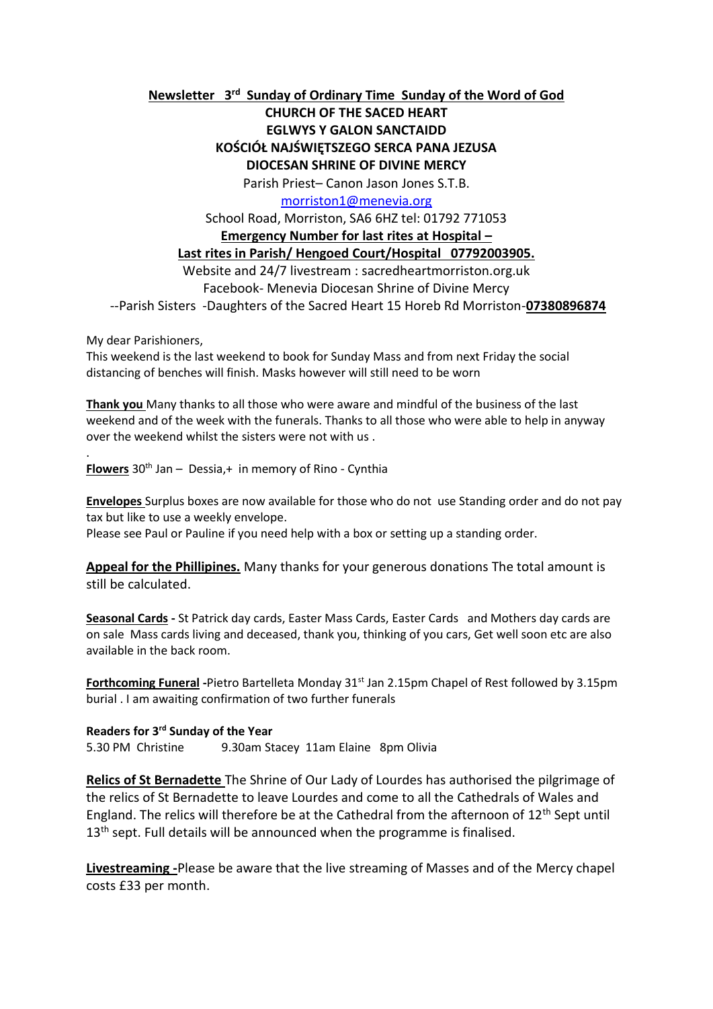# **Newsletter 3 rd Sunday of Ordinary Time Sunday of the Word of God**

# **CHURCH OF THE SACED HEART EGLWYS Y GALON SANCTAIDD KOŚCIÓŁ NAJŚWIĘTSZEGO SERCA PANA JEZUSA DIOCESAN SHRINE OF DIVINE MERCY**

Parish Priest– Canon Jason Jones S.T.B.

[morriston1@menevia.org](mailto:morriston1@menevia.org)

School Road, Morriston, SA6 6HZ tel: 01792 771053

#### **Emergency Number for last rites at Hospital –**

## **Last rites in Parish/ Hengoed Court/Hospital 07792003905.**

Website and 24/7 livestream : sacredheartmorriston.org.uk Facebook- Menevia Diocesan Shrine of Divine Mercy

--Parish Sisters -Daughters of the Sacred Heart 15 Horeb Rd Morriston-**07380896874**

My dear Parishioners,

.

This weekend is the last weekend to book for Sunday Mass and from next Friday the social distancing of benches will finish. Masks however will still need to be worn

**Thank you** Many thanks to all those who were aware and mindful of the business of the last weekend and of the week with the funerals. Thanks to all those who were able to help in anyway over the weekend whilst the sisters were not with us .

**Flowers** 30<sup>th</sup> Jan – Dessia, + in memory of Rino - Cynthia

**Envelopes** Surplus boxes are now available for those who do not use Standing order and do not pay tax but like to use a weekly envelope.

Please see Paul or Pauline if you need help with a box or setting up a standing order.

**Appeal for the Phillipines.** Many thanks for your generous donations The total amount is still be calculated.

**Seasonal Cards -** St Patrick day cards, Easter Mass Cards, Easter Cards and Mothers day cards are on sale Mass cards living and deceased, thank you, thinking of you cars, Get well soon etc are also available in the back room.

**Forthcoming Funeral** -Pietro Bartelleta Monday 31<sup>st</sup> Jan 2.15pm Chapel of Rest followed by 3.15pm burial . I am awaiting confirmation of two further funerals

**Readers for 3 rd Sunday of the Year**  5.30 PM Christine 9.30am Stacey 11am Elaine 8pm Olivia

**Relics of St Bernadette** The Shrine of Our Lady of Lourdes has authorised the pilgrimage of the relics of St Bernadette to leave Lourdes and come to all the Cathedrals of Wales and England. The relics will therefore be at the Cathedral from the afternoon of  $12<sup>th</sup>$  Sept until 13<sup>th</sup> sept. Full details will be announced when the programme is finalised.

**Livestreaming -**Please be aware that the live streaming of Masses and of the Mercy chapel costs £33 per month.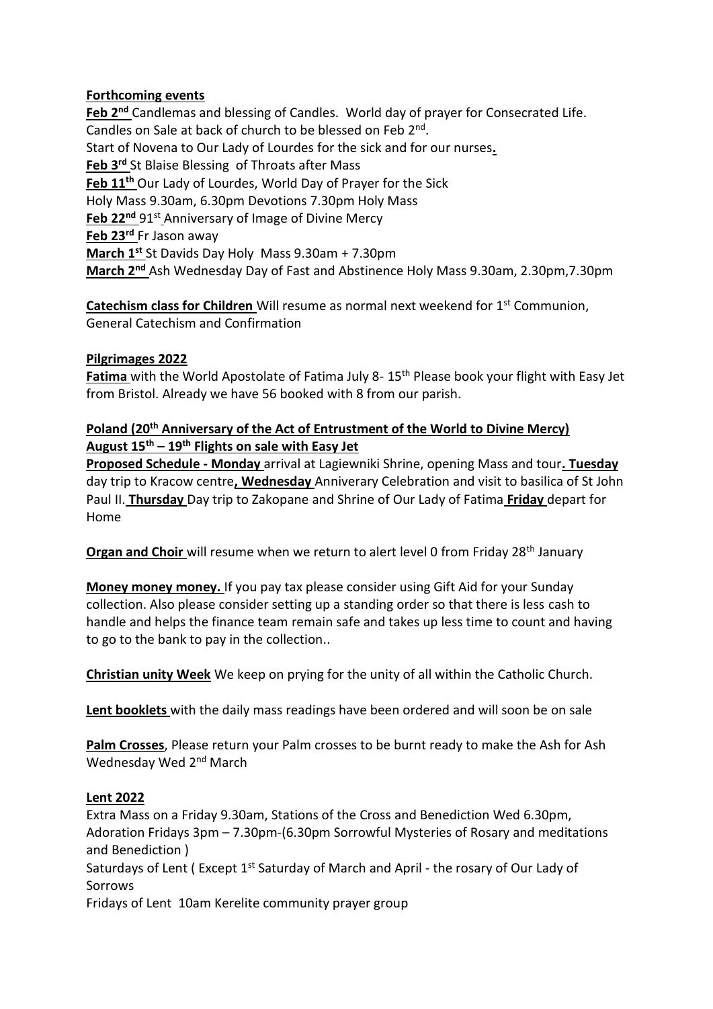# **Forthcoming events**

**Feb 2nd** Candlemas and blessing of Candles. World day of prayer for Consecrated Life. Candles on Sale at back of church to be blessed on Feb 2<sup>nd</sup>. Start of Novena to Our Lady of Lourdes for the sick and for our nurses**. Feb 3rd** St Blaise Blessing of Throats after Mass **Feb 11th** Our Lady of Lourdes, World Day of Prayer for the Sick Holy Mass 9.30am, 6.30pm Devotions 7.30pm Holy Mass Feb 22<sup>nd</sup> 91<sup>st</sup> Anniversary of Image of Divine Mercy **Feb 23rd** Fr Jason away **March 1st** St Davids Day Holy Mass 9.30am + 7.30pm **March 2nd** Ash Wednesday Day of Fast and Abstinence Holy Mass 9.30am, 2.30pm,7.30pm

**Catechism class for Children** Will resume as normal next weekend for 1<sup>st</sup> Communion, General Catechism and Confirmation

# **Pilgrimages 2022**

**Fatima** with the World Apostolate of Fatima July 8- 15th Please book your flight with Easy Jet from Bristol. Already we have 56 booked with 8 from our parish.

# **Poland (20th Anniversary of the Act of Entrustment of the World to Divine Mercy) August 15th – 19th Flights on sale with Easy Jet**

**Proposed Schedule - Monday** arrival at Lagiewniki Shrine, opening Mass and tour**. Tuesday**  day trip to Kracow centre**, Wednesday** Anniverary Celebration and visit to basilica of St John Paul II. **Thursday** Day trip to Zakopane and Shrine of Our Lady of Fatima **Friday** depart for Home

**Organ and Choir** will resume when we return to alert level 0 from Friday 28<sup>th</sup> January

**Money money money.** If you pay tax please consider using Gift Aid for your Sunday collection. Also please consider setting up a standing order so that there is less cash to handle and helps the finance team remain safe and takes up less time to count and having to go to the bank to pay in the collection..

**Christian unity Week** We keep on prying for the unity of all within the Catholic Church.

**Lent booklets** with the daily mass readings have been ordered and will soon be on sale

**Palm Crosses**, Please return your Palm crosses to be burnt ready to make the Ash for Ash Wednesday Wed 2<sup>nd</sup> March

#### **Lent 2022**

Extra Mass on a Friday 9.30am, Stations of the Cross and Benediction Wed 6.30pm, Adoration Fridays 3pm – 7.30pm-(6.30pm Sorrowful Mysteries of Rosary and meditations and Benediction ) Saturdays of Lent (Except 1<sup>st</sup> Saturday of March and April - the rosary of Our Lady of Sorrows Fridays of Lent 10am Kerelite community prayer group